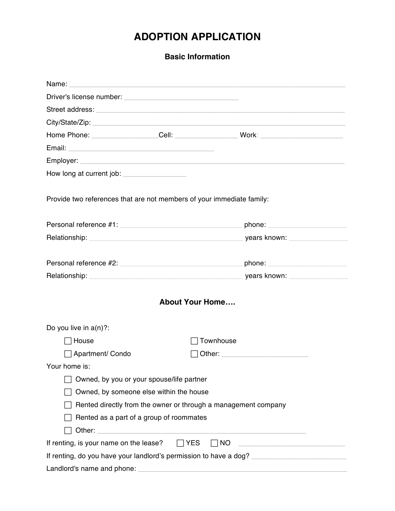## **ADOPTION APPLICATION**

**Basic Information**

|                                                                        | Home Phone: ___________________Cell: ______________________Work: ___________________________________            |  |  |  |
|------------------------------------------------------------------------|-----------------------------------------------------------------------------------------------------------------|--|--|--|
|                                                                        |                                                                                                                 |  |  |  |
|                                                                        |                                                                                                                 |  |  |  |
| How long at current job: __________________                            |                                                                                                                 |  |  |  |
| Provide two references that are not members of your immediate family:  |                                                                                                                 |  |  |  |
|                                                                        | Personal reference #1: phone: phone:                                                                            |  |  |  |
|                                                                        | Relationship: version of the set of the set of the set of the set of the set of the set of the set of the set o |  |  |  |
| Personal reference #2: New York Contract to the Personal reference #2: | phone: Department of the state of the state of the state of the state of the state of the state of the state o  |  |  |  |
| Relationship: years known:                                             |                                                                                                                 |  |  |  |
|                                                                        | <b>About Your Home</b>                                                                                          |  |  |  |
| Do you live in $a(n)$ ?:                                               |                                                                                                                 |  |  |  |
| $\sqcap$ House                                                         | Townhouse                                                                                                       |  |  |  |
| Apartment/Condo                                                        |                                                                                                                 |  |  |  |
| Your home is:                                                          |                                                                                                                 |  |  |  |
| Owned, by you or your spouse/life partner                              |                                                                                                                 |  |  |  |
| Owned, by someone else within the house                                |                                                                                                                 |  |  |  |
| Rented directly from the owner or through a management company         |                                                                                                                 |  |  |  |
| Rented as a part of a group of roommates                               |                                                                                                                 |  |  |  |
|                                                                        |                                                                                                                 |  |  |  |
| If renting, is your name on the lease?                                 | $\Box$ YES<br>$\Box$ NO<br><u> 1989 - Johann Barbara, martxa alemaniar a</u>                                    |  |  |  |
|                                                                        |                                                                                                                 |  |  |  |
| Landlord's name and phone:                                             |                                                                                                                 |  |  |  |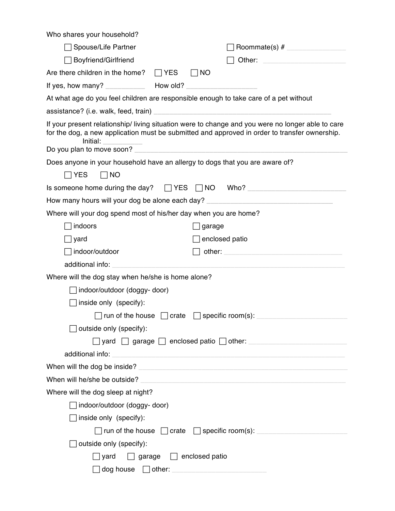| Who shares your household?                                       |                                                                                                                                                                                                                                |
|------------------------------------------------------------------|--------------------------------------------------------------------------------------------------------------------------------------------------------------------------------------------------------------------------------|
| Spouse/Life Partner                                              | Roommate(s) $#$                                                                                                                                                                                                                |
| Boyfriend/Girlfriend                                             | Other: New York Products and Contract Contract of the Contract Oriental Contract Oriental Contract Oriental Co                                                                                                                 |
| Are there children in the home? $\Box$ YES                       | $\sqcap$ NO                                                                                                                                                                                                                    |
|                                                                  |                                                                                                                                                                                                                                |
|                                                                  | At what age do you feel children are responsible enough to take care of a pet without                                                                                                                                          |
|                                                                  |                                                                                                                                                                                                                                |
| <u>Initial: ___________</u>                                      | If your present relationship/living situation were to change and you were no longer able to care<br>for the dog, a new application must be submitted and approved in order to transfer ownership.                              |
| Do you plan to move soon?                                        |                                                                                                                                                                                                                                |
|                                                                  | Does anyone in your household have an allergy to dogs that you are aware of?                                                                                                                                                   |
| $\Box$ YES<br>$\Box$ NO                                          |                                                                                                                                                                                                                                |
|                                                                  | Is someone home during the day? $\Box$ YES $\Box$ NO Who? ___________________________                                                                                                                                          |
|                                                                  | How many hours will your dog be alone each day? ________________________________                                                                                                                                               |
| Where will your dog spend most of his/her day when you are home? |                                                                                                                                                                                                                                |
| indoors                                                          | garage                                                                                                                                                                                                                         |
| ∏yard                                                            | enclosed patio                                                                                                                                                                                                                 |
| ∣indoor/outdoor                                                  | other: when the contract of the contract of the contract of the contract of the contract of the contract of the contract of the contract of the contract of the contract of the contract of the contract of the contract of th |
| additional info:                                                 |                                                                                                                                                                                                                                |
| Where will the dog stay when he/she is home alone?               |                                                                                                                                                                                                                                |
| indoor/outdoor (doggy-door)                                      |                                                                                                                                                                                                                                |
| inside only (specify):                                           |                                                                                                                                                                                                                                |
|                                                                  | $\Box$ run of the house $\Box$ crate $\Box$ specific room(s): _______                                                                                                                                                          |
| outside only (specify):                                          |                                                                                                                                                                                                                                |
|                                                                  | $\Box$ yard $\Box$ garage $\Box$ enclosed patio $\Box$ other: $\Box$                                                                                                                                                           |
| additional info:                                                 | <u> 1980 - Jan James James Barnett, fransk politik (d. 1980)</u>                                                                                                                                                               |
|                                                                  | When will the dog be inside?                                                                                                                                                                                                   |
|                                                                  |                                                                                                                                                                                                                                |
| Where will the dog sleep at night?                               |                                                                                                                                                                                                                                |
| indoor/outdoor (doggy-door)                                      |                                                                                                                                                                                                                                |
| inside only (specify):                                           |                                                                                                                                                                                                                                |
|                                                                  | $\Box$ run of the house $\Box$ crate $\Box$ specific room(s):                                                                                                                                                                  |
| outside only (specify):                                          |                                                                                                                                                                                                                                |
| yard                                                             | $\Box$ garage $\Box$ enclosed patio                                                                                                                                                                                            |
| $dog house$ other:                                               |                                                                                                                                                                                                                                |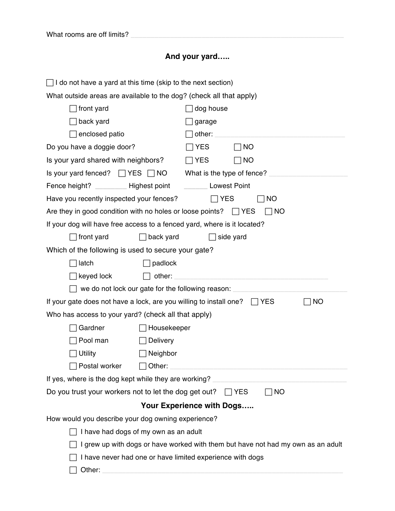## **And your yard…..**

| $\Box$ I do not have a yard at this time (skip to the next section)           |                                                                                  |  |  |
|-------------------------------------------------------------------------------|----------------------------------------------------------------------------------|--|--|
| What outside areas are available to the dog? (check all that apply)           |                                                                                  |  |  |
| front yard                                                                    | dog house                                                                        |  |  |
| back yard                                                                     | garage                                                                           |  |  |
| enclosed patio                                                                |                                                                                  |  |  |
| Do you have a doggie door?<br><b>YES</b><br>$\Box$ No                         |                                                                                  |  |  |
| Is your yard shared with neighbors?                                           | <b>YES</b><br>$\Box$ No                                                          |  |  |
| Is your yard fenced? $\Box$ YES $\Box$ NO                                     | What is the type of fence?                                                       |  |  |
| Fence height? ___________ Highest point __________ Lowest Point               |                                                                                  |  |  |
| Have you recently inspected your fences?                                      | $\Box$ YES<br><b>NO</b>                                                          |  |  |
| Are they in good condition with no holes or loose points? $\Box$ YES          | <b>NO</b>                                                                        |  |  |
| If your dog will have free access to a fenced yard, where is it located?      |                                                                                  |  |  |
| front yard<br>back yard                                                       | side yard                                                                        |  |  |
| Which of the following is used to secure your gate?                           |                                                                                  |  |  |
| latch<br>padlock                                                              |                                                                                  |  |  |
| keyed lock<br>other:                                                          |                                                                                  |  |  |
|                                                                               | we do not lock our gate for the following reason:                                |  |  |
| If your gate does not have a lock, are you willing to install one? $\Box$ YES | <b>NO</b>                                                                        |  |  |
| Who has access to your yard? (check all that apply)                           |                                                                                  |  |  |
| Gardner<br>Housekeeper                                                        |                                                                                  |  |  |
| Pool man<br>Delivery                                                          |                                                                                  |  |  |
| <b>Utility</b><br>Neighbor                                                    |                                                                                  |  |  |
| $\Box$ Other:<br>Postal worker                                                |                                                                                  |  |  |
| If yes, where is the dog kept while they are working?                         |                                                                                  |  |  |
| Do you trust your workers not to let the dog get out?                         | <b>NO</b><br>$\Box$ YES                                                          |  |  |
|                                                                               | Your Experience with Dogs                                                        |  |  |
| How would you describe your dog owning experience?                            |                                                                                  |  |  |
| I have had dogs of my own as an adult                                         |                                                                                  |  |  |
|                                                                               | I grew up with dogs or have worked with them but have not had my own as an adult |  |  |
| I have never had one or have limited experience with dogs                     |                                                                                  |  |  |
| Other:                                                                        |                                                                                  |  |  |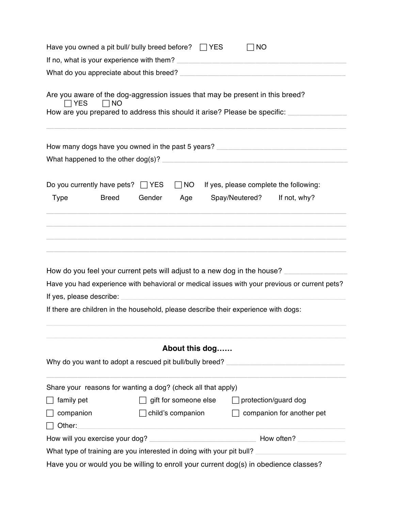| Have you owned a pit bull/ bully breed before? $\Box$ YES                                                                                                                    |              |                          |                                         | <b>NO</b>                                           |                                                                                               |  |
|------------------------------------------------------------------------------------------------------------------------------------------------------------------------------|--------------|--------------------------|-----------------------------------------|-----------------------------------------------------|-----------------------------------------------------------------------------------------------|--|
| If no, what is your experience with them?                                                                                                                                    |              |                          |                                         |                                                     |                                                                                               |  |
|                                                                                                                                                                              |              |                          |                                         |                                                     |                                                                                               |  |
| Are you aware of the dog-aggression issues that may be present in this breed?<br>$\sqcap$ YES<br>How are you prepared to address this should it arise? Please be specific: _ | $\Box$ NO    |                          |                                         |                                                     |                                                                                               |  |
|                                                                                                                                                                              |              |                          |                                         |                                                     | How many dogs have you owned in the past 5 years? ______________________________              |  |
|                                                                                                                                                                              |              |                          |                                         |                                                     |                                                                                               |  |
| Do you currently have pets? $\Box$ YES                                                                                                                                       |              |                          | $\Box$ NO                               |                                                     | If yes, please complete the following:                                                        |  |
| <b>Type</b>                                                                                                                                                                  | <b>Breed</b> | Gender                   | Age                                     | Spay/Neutered?                                      | If not, why?                                                                                  |  |
| How do you feel your current pets will adjust to a new dog in the house?                                                                                                     |              |                          |                                         |                                                     | Have you had experience with behavioral or medical issues with your previous or current pets? |  |
| If yes, please describe:<br>If there are children in the household, please describe their experience with dogs:                                                              |              |                          |                                         | <u> 1980 - Johann Barbara, martxa alemaniar arg</u> |                                                                                               |  |
|                                                                                                                                                                              |              |                          | About this dog                          |                                                     |                                                                                               |  |
| Why do you want to adopt a rescued pit bull/bully breed? _______________________                                                                                             |              |                          |                                         |                                                     |                                                                                               |  |
| Share your reasons for wanting a dog? (check all that apply)                                                                                                                 |              |                          |                                         |                                                     |                                                                                               |  |
| family pet                                                                                                                                                                   |              |                          | gift for someone else                   | $\Box$ protection/guard dog                         |                                                                                               |  |
| companion                                                                                                                                                                    |              | $\Box$ child's companion |                                         |                                                     | companion for another pet                                                                     |  |
| Other:                                                                                                                                                                       |              |                          | <u> 1980 - Johann Barbara, martin a</u> |                                                     |                                                                                               |  |
|                                                                                                                                                                              |              |                          |                                         |                                                     |                                                                                               |  |
|                                                                                                                                                                              |              |                          |                                         |                                                     | What type of training are you interested in doing with your pit bull?                         |  |
| Have you or would you be willing to enroll your current dog(s) in obedience classes?                                                                                         |              |                          |                                         |                                                     |                                                                                               |  |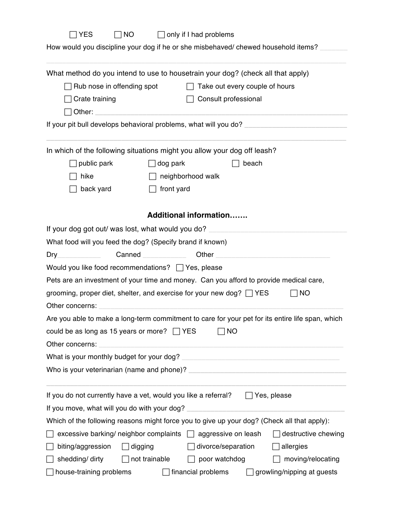| <b>YES</b>                                                                                          | ∏NO                  | $\Box$ only if I had problems |                                |                                                                                                              |
|-----------------------------------------------------------------------------------------------------|----------------------|-------------------------------|--------------------------------|--------------------------------------------------------------------------------------------------------------|
| How would you discipline your dog if he or she misbehaved/ chewed household items?                  |                      |                               |                                |                                                                                                              |
| What method do you intend to use to housetrain your dog? (check all that apply)                     |                      |                               |                                |                                                                                                              |
| Rub nose in offending spot                                                                          |                      | $\Box$                        | Take out every couple of hours |                                                                                                              |
| Crate training                                                                                      |                      | Consult professional          |                                |                                                                                                              |
| Other:                                                                                              |                      |                               |                                |                                                                                                              |
| If your pit bull develops behavioral problems, what will you do? __________________________________ |                      |                               |                                |                                                                                                              |
| In which of the following situations might you allow your dog off leash?                            |                      |                               |                                |                                                                                                              |
| public park                                                                                         | dog park             |                               | beach                          |                                                                                                              |
| hike                                                                                                |                      | neighborhood walk             |                                |                                                                                                              |
| back yard                                                                                           | front yard           |                               |                                |                                                                                                              |
|                                                                                                     |                      | <b>Additional information</b> |                                |                                                                                                              |
| If your dog got out/ was lost, what would you do?                                                   |                      |                               |                                |                                                                                                              |
| What food will you feed the dog? (Specify brand if known)                                           |                      |                               |                                |                                                                                                              |
| Dry                                                                                                 | Canned <b>Canned</b> |                               |                                | Other <b>Other Community Community Community Community Community Community Community Community Community</b> |
| Would you like food recommendations? □ Yes, please                                                  |                      |                               |                                |                                                                                                              |
| Pets are an investment of your time and money. Can you afford to provide medical care,              |                      |                               |                                |                                                                                                              |
| grooming, proper diet, shelter, and exercise for your new dog? $\Box$ YES                           |                      |                               |                                | <b>NO</b>                                                                                                    |
| Other concerns:                                                                                     |                      |                               |                                |                                                                                                              |
| Are you able to make a long-term commitment to care for your pet for its entire life span, which    |                      |                               |                                |                                                                                                              |
| could be as long as 15 years or more? $\Box$ YES                                                    |                      |                               | <b>NO</b>                      |                                                                                                              |
| Other concerns:                                                                                     |                      |                               |                                |                                                                                                              |
|                                                                                                     |                      |                               |                                |                                                                                                              |
|                                                                                                     |                      |                               |                                |                                                                                                              |
| If you do not currently have a vet, would you like a referral?                                      |                      |                               | $\Box$ Yes, please             |                                                                                                              |
| If you move, what will you do with your dog?                                                        |                      |                               |                                |                                                                                                              |
| Which of the following reasons might force you to give up your dog? (Check all that apply):         |                      |                               |                                |                                                                                                              |
| excessive barking/ neighbor complaints $\Box$ aggressive on leash                                   |                      |                               |                                | destructive chewing                                                                                          |
| biting/aggression                                                                                   | digging              | $\Box$ divorce/separation     |                                | allergies                                                                                                    |
| shedding/ dirty                                                                                     | not trainable        | poor watchdog                 |                                | moving/relocating                                                                                            |
| house-training problems                                                                             |                      | financial problems            |                                | growling/nipping at guests                                                                                   |